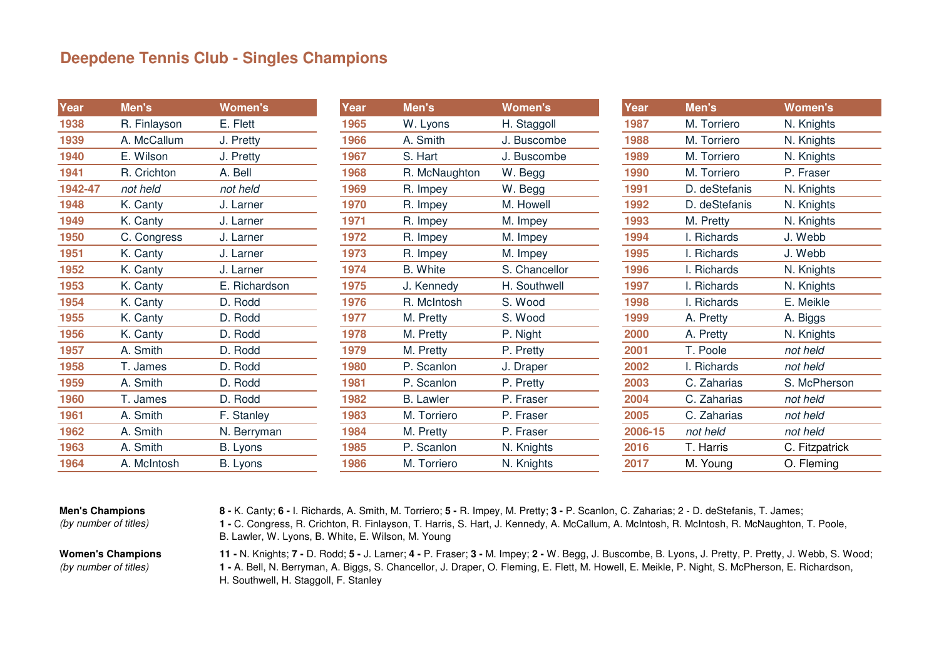## **Deepdene Tennis Club - Singles Champions**

| Year    | Men's        | <b>Women's</b> | Year | Men's            | <b>Women's</b> | Year    | Men's         | <b>Women's</b> |
|---------|--------------|----------------|------|------------------|----------------|---------|---------------|----------------|
| 1938    | R. Finlayson | E. Flett       | 1965 | W. Lyons         | H. Staggoll    | 1987    | M. Torriero   | N. Knights     |
| 1939    | A. McCallum  | J. Pretty      | 1966 | A. Smith         | J. Buscombe    | 1988    | M. Torriero   | N. Knights     |
| 1940    | E. Wilson    | J. Pretty      | 1967 | S. Hart          | J. Buscombe    | 1989    | M. Torriero   | N. Knights     |
| 1941    | R. Crichton  | A. Bell        | 1968 | R. McNaughton    | W. Begg        | 1990    | M. Torriero   | P. Fraser      |
| 1942-47 | not held     | not held       | 1969 | R. Impey         | W. Begg        | 1991    | D. deStefanis | N. Knights     |
| 1948    | K. Canty     | J. Larner      | 1970 | R. Impey         | M. Howell      | 1992    | D. deStefanis | N. Knights     |
| 1949    | K. Canty     | J. Larner      | 1971 | R. Impey         | M. Impey       | 1993    | M. Pretty     | N. Knights     |
| 1950    | C. Congress  | J. Larner      | 1972 | R. Impey         | M. Impey       | 1994    | I. Richards   | J. Webb        |
| 1951    | K. Canty     | J. Larner      | 1973 | R. Impey         | M. Impey       | 1995    | I. Richards   | J. Webb        |
| 1952    | K. Canty     | J. Larner      | 1974 | <b>B.</b> White  | S. Chancellor  | 1996    | I. Richards   | N. Knights     |
| 1953    | K. Canty     | E. Richardson  | 1975 | J. Kennedy       | H. Southwell   | 1997    | I. Richards   | N. Knights     |
| 1954    | K. Canty     | D. Rodd        | 1976 | R. McIntosh      | S. Wood        | 1998    | I. Richards   | E. Meikle      |
| 1955    | K. Canty     | D. Rodd        | 1977 | M. Pretty        | S. Wood        | 1999    | A. Pretty     | A. Biggs       |
| 1956    | K. Canty     | D. Rodd        | 1978 | M. Pretty        | P. Night       | 2000    | A. Pretty     | N. Knights     |
| 1957    | A. Smith     | D. Rodd        | 1979 | M. Pretty        | P. Pretty      | 2001    | T. Poole      | not held       |
| 1958    | T. James     | D. Rodd        | 1980 | P. Scanlon       | J. Draper      | 2002    | I. Richards   | not held       |
| 1959    | A. Smith     | D. Rodd        | 1981 | P. Scanlon       | P. Pretty      | 2003    | C. Zaharias   | S. McPherson   |
| 1960    | T. James     | D. Rodd        | 1982 | <b>B.</b> Lawler | P. Fraser      | 2004    | C. Zaharias   | not held       |
| 1961    | A. Smith     | F. Stanley     | 1983 | M. Torriero      | P. Fraser      | 2005    | C. Zaharias   | not held       |
| 1962    | A. Smith     | N. Berryman    | 1984 | M. Pretty        | P. Fraser      | 2006-15 | not held      | not held       |
| 1963    | A. Smith     | B. Lyons       | 1985 | P. Scanlon       | N. Knights     | 2016    | T. Harris     | C. Fitzpatrick |
| 1964    | A. McIntosh  | B. Lyons       | 1986 | M. Torriero      | N. Knights     | 2017    | M. Young      | O. Fleming     |

## **Men's Champions**

(by number of titles)

**8 -** K. Canty; **6 -** I. Richards, A. Smith, M. Torriero; **5 -** R. Impey, M. Pretty; **3 -** P. Scanlon, C. Zaharias; 2 - D. deStefanis, T. James; **1 -** C. Congress, R. Crichton, R. Finlayson, T. Harris, S. Hart, J. Kennedy, A. McCallum, A. McIntosh, R. McIntosh, R. McNaughton, T. Poole, B. Lawler, W. Lyons, B. White, E. Wilson, M. Young

## **Women's Champions** (by number of titles)

**11 -** N. Knights; **7 -** D. Rodd; **5 -** J. Larner; **4 -** P. Fraser; **3 -** M. Impey; **2 -** W. Begg, J. Buscombe, B. Lyons, J. Pretty, P. Pretty, J. Webb, S. Wood; **1 -** A. Bell, N. Berryman, A. Biggs, S. Chancellor, J. Draper, O. Fleming, E. Flett, M. Howell, E. Meikle, P. Night, S. McPherson, E. Richardson, H. Southwell, H. Staggoll, F. Stanley